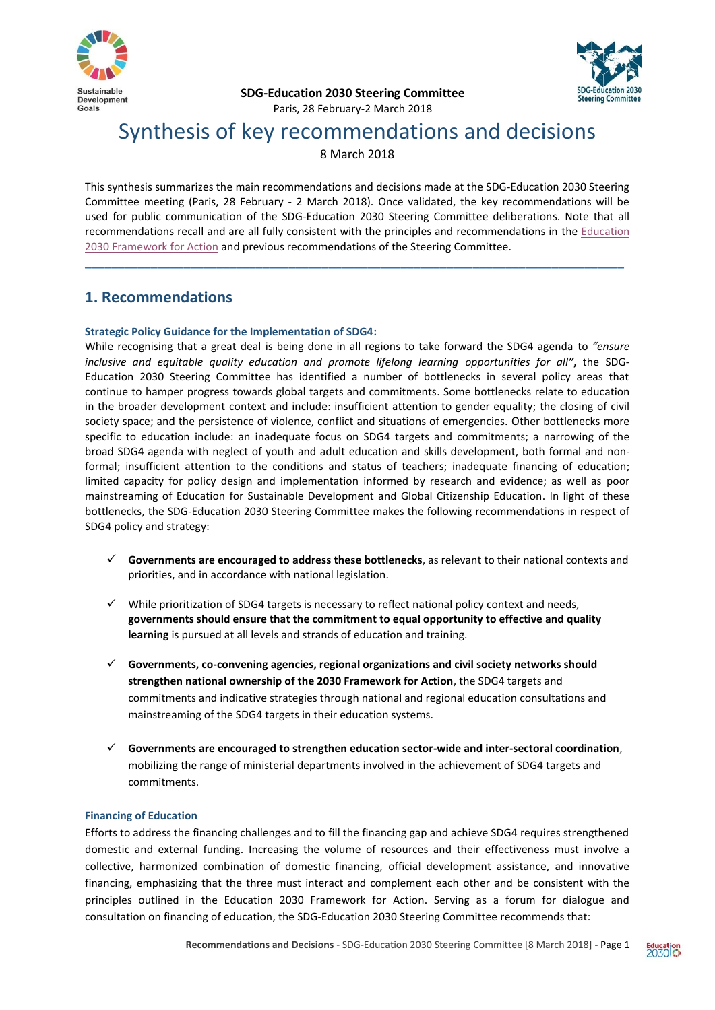



**SDG-Education 2030 Steering Committee**

# Paris, 28 February-2 March 2018

# Synthesis of key recommendations and decisions

8 March 2018

This synthesis summarizes the main recommendations and decisions made at the SDG-Education 2030 Steering Committee meeting (Paris, 28 February - 2 March 2018). Once validated, the key recommendations will be used for public communication of the SDG-Education 2030 Steering Committee deliberations. Note that all recommendations recall and are all fully consistent with the principles and recommendations in the [Education](http://unesdoc.unesco.org/images/0024/002456/245656e.pdf)  [2030 Framework for Action](http://unesdoc.unesco.org/images/0024/002456/245656e.pdf) and previous recommendations of the Steering Committee.

**\_\_\_\_\_\_\_\_\_\_\_\_\_\_\_\_\_\_\_\_\_\_\_\_\_\_\_\_\_\_\_\_\_\_\_\_\_\_\_\_\_\_\_\_\_\_\_\_\_\_\_\_\_\_\_\_\_\_\_\_\_\_\_\_\_\_\_\_\_\_\_\_\_\_\_\_\_\_\_\_\_\_**

# **1. Recommendations**

# **Strategic Policy Guidance for the Implementation of SDG4:**

While recognising that a great deal is being done in all regions to take forward the SDG4 agenda to *"ensure inclusive and equitable quality education and promote lifelong learning opportunities for all"***,** the SDG-Education 2030 Steering Committee has identified a number of bottlenecks in several policy areas that continue to hamper progress towards global targets and commitments. Some bottlenecks relate to education in the broader development context and include: insufficient attention to gender equality; the closing of civil society space; and the persistence of violence, conflict and situations of emergencies. Other bottlenecks more specific to education include: an inadequate focus on SDG4 targets and commitments; a narrowing of the broad SDG4 agenda with neglect of youth and adult education and skills development, both formal and nonformal; insufficient attention to the conditions and status of teachers; inadequate financing of education; limited capacity for policy design and implementation informed by research and evidence; as well as poor mainstreaming of Education for Sustainable Development and Global Citizenship Education. In light of these bottlenecks, the SDG-Education 2030 Steering Committee makes the following recommendations in respect of SDG4 policy and strategy:

- **Governments are encouraged to address these bottlenecks**, as relevant to their national contexts and priorities, and in accordance with national legislation.
- $\checkmark$  While prioritization of SDG4 targets is necessary to reflect national policy context and needs, **governments should ensure that the commitment to equal opportunity to effective and quality learning** is pursued at all levels and strands of education and training.
- **Governments, co-convening agencies, regional organizations and civil society networks should strengthen national ownership of the 2030 Framework for Action**, the SDG4 targets and commitments and indicative strategies through national and regional education consultations and mainstreaming of the SDG4 targets in their education systems.
- **Governments are encouraged to strengthen education sector-wide and inter-sectoral coordination**, mobilizing the range of ministerial departments involved in the achievement of SDG4 targets and commitments.

# **Financing of Education**

Efforts to address the financing challenges and to fill the financing gap and achieve SDG4 requires strengthened domestic and external funding. Increasing the volume of resources and their effectiveness must involve a collective, harmonized combination of domestic financing, official development assistance, and innovative financing, emphasizing that the three must interact and complement each other and be consistent with the principles outlined in the Education 2030 Framework for Action. Serving as a forum for dialogue and consultation on financing of education, the SDG-Education 2030 Steering Committee recommends that: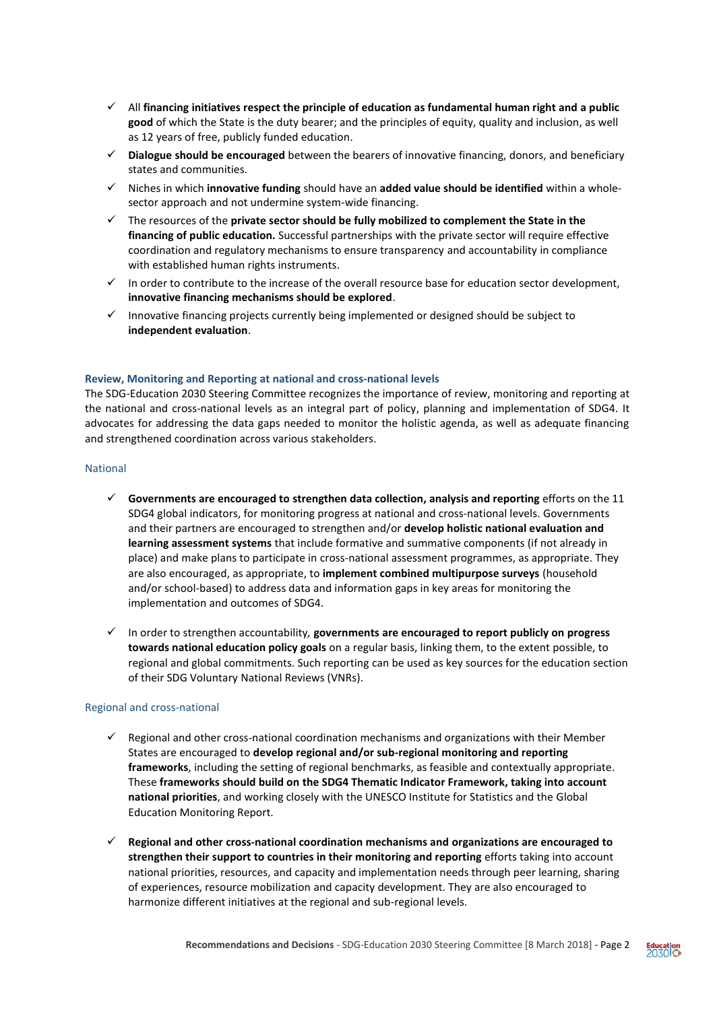- All **financing initiatives respect the principle of education as fundamental human right and a public good** of which the State is the duty bearer; and the principles of equity, quality and inclusion, as well as 12 years of free, publicly funded education.
- **Dialogue should be encouraged** between the bearers of innovative financing, donors, and beneficiary states and communities.
- Niches in which **innovative funding** should have an **added value should be identified** within a wholesector approach and not undermine system-wide financing.
- The resources of the **private sector should be fully mobilized to complement the State in the financing of public education.** Successful partnerships with the private sector will require effective coordination and regulatory mechanisms to ensure transparency and accountability in compliance with established human rights instruments.
- $\checkmark$  In order to contribute to the increase of the overall resource base for education sector development, **innovative financing mechanisms should be explored**.
- $\checkmark$  Innovative financing projects currently being implemented or designed should be subject to **independent evaluation**.

### **Review, Monitoring and Reporting at national and cross-national levels**

The SDG-Education 2030 Steering Committee recognizes the importance of review, monitoring and reporting at the national and cross-national levels as an integral part of policy, planning and implementation of SDG4. It advocates for addressing the data gaps needed to monitor the holistic agenda, as well as adequate financing and strengthened coordination across various stakeholders.

# National

- **Governments are encouraged to strengthen data collection, analysis and reporting** efforts on the 11 SDG4 global indicators, for monitoring progress at national and cross-national levels. Governments and their partners are encouraged to strengthen and/or **develop holistic national evaluation and learning assessment systems** that include formative and summative components (if not already in place) and make plans to participate in cross-national assessment programmes, as appropriate. They are also encouraged, as appropriate, to **implement combined multipurpose surveys** (household and/or school-based) to address data and information gaps in key areas for monitoring the implementation and outcomes of SDG4.
- In order to strengthen accountability*,* **governments are encouraged to report publicly on progress towards national education policy goals** on a regular basis, linking them, to the extent possible, to regional and global commitments. Such reporting can be used as key sources for the education section of their SDG Voluntary National Reviews (VNRs).

### Regional and cross-national

- $\checkmark$  Regional and other cross-national coordination mechanisms and organizations with their Member States are encouraged to **develop regional and/or sub-regional monitoring and reporting frameworks**, including the setting of regional benchmarks, as feasible and contextually appropriate. These **frameworks should build on the SDG4 Thematic Indicator Framework, taking into account national priorities**, and working closely with the UNESCO Institute for Statistics and the Global Education Monitoring Report.
- **Regional and other cross-national coordination mechanisms and organizations are encouraged to strengthen their support to countries in their monitoring and reporting** efforts taking into account national priorities, resources, and capacity and implementation needs through peer learning, sharing of experiences, resource mobilization and capacity development. They are also encouraged to harmonize different initiatives at the regional and sub-regional levels.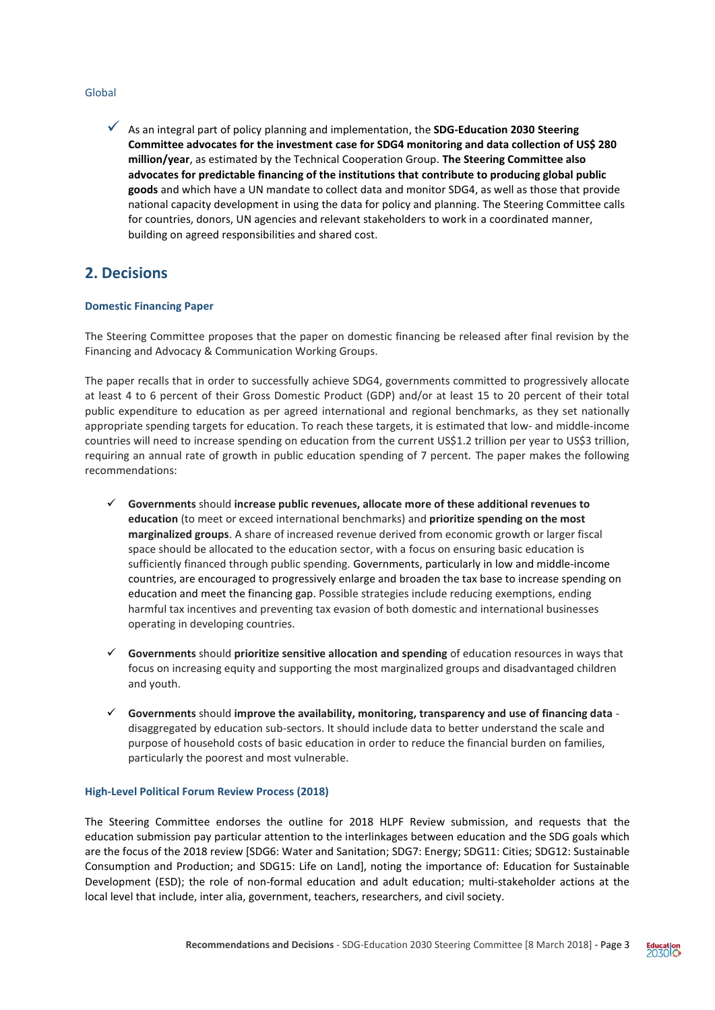### Global

 As an integral part of policy planning and implementation, the **SDG-Education 2030 Steering Committee advocates for the investment case for SDG4 monitoring and data collection of US\$ 280 million/year**, as estimated by the Technical Cooperation Group. **The Steering Committee also advocates for predictable financing of the institutions that contribute to producing global public goods** and which have a UN mandate to collect data and monitor SDG4, as well as those that provide national capacity development in using the data for policy and planning. The Steering Committee calls for countries, donors, UN agencies and relevant stakeholders to work in a coordinated manner, building on agreed responsibilities and shared cost.

# **2. Decisions**

### **Domestic Financing Paper**

The Steering Committee proposes that the paper on domestic financing be released after final revision by the Financing and Advocacy & Communication Working Groups.

The paper recalls that in order to successfully achieve SDG4, governments committed to progressively allocate at least 4 to 6 percent of their Gross Domestic Product (GDP) and/or at least 15 to 20 percent of their total public expenditure to education as per agreed international and regional benchmarks, as they set nationally appropriate spending targets for education. To reach these targets, it is estimated that low- and middle-income countries will need to increase spending on education from the current US\$1.2 trillion per year to US\$3 trillion, requiring an annual rate of growth in public education spending of 7 percent. The paper makes the following recommendations:

- **Governments** should **increase public revenues, allocate more of these additional revenues to education** (to meet or exceed international benchmarks) and **prioritize spending on the most marginalized groups**. A share of increased revenue derived from economic growth or larger fiscal space should be allocated to the education sector, with a focus on ensuring basic education is sufficiently financed through public spending. Governments, particularly in low and middle-income countries, are encouraged to progressively enlarge and broaden the tax base to increase spending on education and meet the financing gap. Possible strategies include reducing exemptions, ending harmful tax incentives and preventing tax evasion of both domestic and international businesses operating in developing countries.
- **Governments** should **prioritize sensitive allocation and spending** of education resources in ways that focus on increasing equity and supporting the most marginalized groups and disadvantaged children and youth.
- **Governments** should **improve the availability, monitoring, transparency and use of financing data** disaggregated by education sub-sectors. It should include data to better understand the scale and purpose of household costs of basic education in order to reduce the financial burden on families, particularly the poorest and most vulnerable.

### **High-Level Political Forum Review Process (2018)**

The Steering Committee endorses the outline for 2018 HLPF Review submission, and requests that the education submission pay particular attention to the interlinkages between education and the SDG goals which are the focus of the 2018 review [SDG6: Water and Sanitation; SDG7: Energy; SDG11: Cities; SDG12: Sustainable Consumption and Production; and SDG15: Life on Land], noting the importance of: Education for Sustainable Development (ESD); the role of non-formal education and adult education; multi-stakeholder actions at the local level that include, inter alia, government, teachers, researchers, and civil society.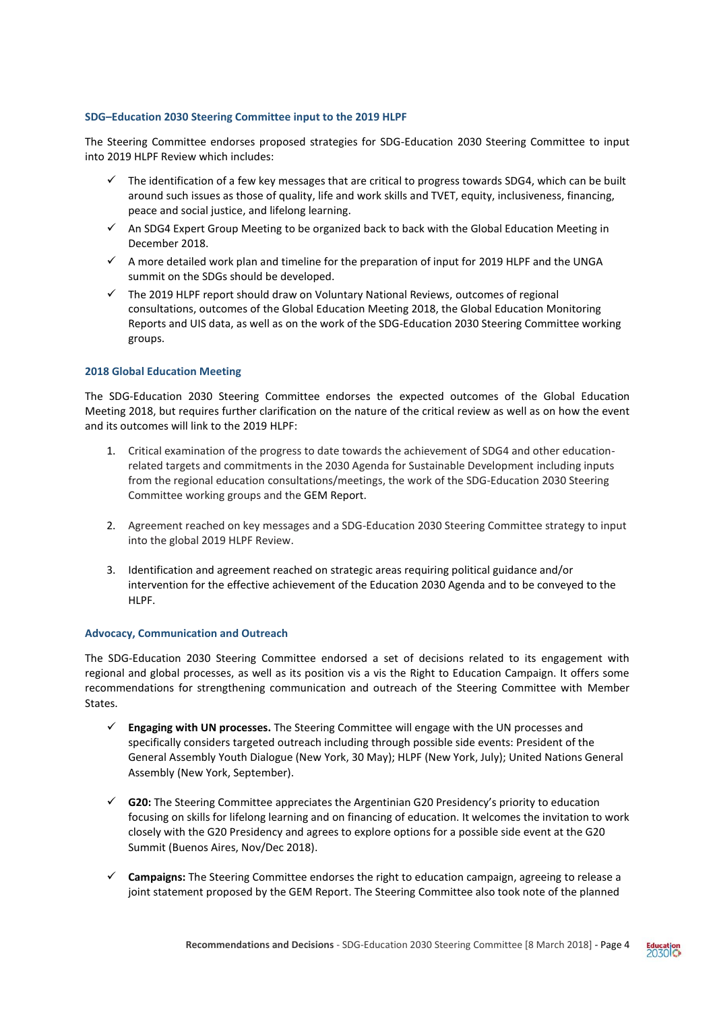### **SDG–Education 2030 Steering Committee input to the 2019 HLPF**

The Steering Committee endorses proposed strategies for SDG-Education 2030 Steering Committee to input into 2019 HLPF Review which includes:

- $\checkmark$  The identification of a few key messages that are critical to progress towards SDG4, which can be built around such issues as those of quality, life and work skills and TVET, equity, inclusiveness, financing, peace and social justice, and lifelong learning.
- $\checkmark$  An SDG4 Expert Group Meeting to be organized back to back with the Global Education Meeting in December 2018.
- $\checkmark$  A more detailed work plan and timeline for the preparation of input for 2019 HLPF and the UNGA summit on the SDGs should be developed.
- $\checkmark$  The 2019 HLPF report should draw on Voluntary National Reviews, outcomes of regional consultations, outcomes of the Global Education Meeting 2018, the Global Education Monitoring Reports and UIS data, as well as on the work of the SDG-Education 2030 Steering Committee working groups.

# **2018 Global Education Meeting**

The SDG-Education 2030 Steering Committee endorses the expected outcomes of the Global Education Meeting 2018, but requires further clarification on the nature of the critical review as well as on how the event and its outcomes will link to the 2019 HLPF:

- 1. Critical examination of the progress to date towards the achievement of SDG4 and other educationrelated targets and commitments in the 2030 Agenda for Sustainable Development including inputs from the regional education consultations/meetings, the work of the SDG-Education 2030 Steering Committee working groups and the GEM Report.
- 2. Agreement reached on key messages and a SDG-Education 2030 Steering Committee strategy to input into the global 2019 HLPF Review.
- 3. Identification and agreement reached on strategic areas requiring political guidance and/or intervention for the effective achievement of the Education 2030 Agenda and to be conveyed to the HIPF.

### **Advocacy, Communication and Outreach**

The SDG-Education 2030 Steering Committee endorsed a set of decisions related to its engagement with regional and global processes, as well as its position vis a vis the Right to Education Campaign. It offers some recommendations for strengthening communication and outreach of the Steering Committee with Member States.

- **Engaging with UN processes.** The Steering Committee will engage with the UN processes and specifically considers targeted outreach including through possible side events: President of the General Assembly Youth Dialogue (New York, 30 May); HLPF (New York, July); United Nations General Assembly (New York, September).
- **G20:** The Steering Committee appreciates the Argentinian G20 Presidency's priority to education focusing on skills for lifelong learning and on financing of education. It welcomes the invitation to work closely with the G20 Presidency and agrees to explore options for a possible side event at the G20 Summit (Buenos Aires, Nov/Dec 2018).
- **Campaigns:** The Steering Committee endorses the right to education campaign, agreeing to release a joint statement proposed by the GEM Report. The Steering Committee also took note of the planned